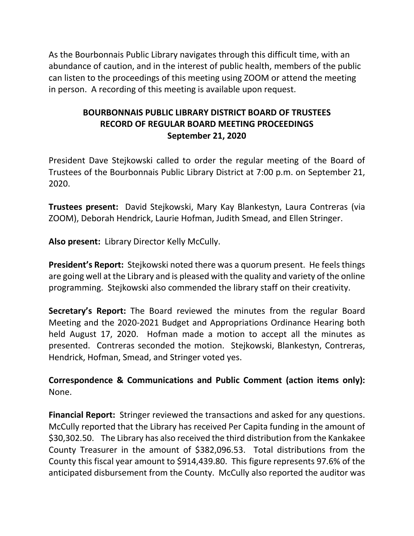As the Bourbonnais Public Library navigates through this difficult time, with an abundance of caution, and in the interest of public health, members of the public can listen to the proceedings of this meeting using ZOOM or attend the meeting in person. A recording of this meeting is available upon request.

# **BOURBONNAIS PUBLIC LIBRARY DISTRICT BOARD OF TRUSTEES RECORD OF REGULAR BOARD MEETING PROCEEDINGS September 21, 2020**

President Dave Stejkowski called to order the regular meeting of the Board of Trustees of the Bourbonnais Public Library District at 7:00 p.m. on September 21, 2020.

**Trustees present:** David Stejkowski, Mary Kay Blankestyn, Laura Contreras (via ZOOM), Deborah Hendrick, Laurie Hofman, Judith Smead, and Ellen Stringer.

**Also present:** Library Director Kelly McCully.

**President's Report:** Stejkowski noted there was a quorum present. He feels things are going well at the Library and is pleased with the quality and variety of the online programming. Stejkowski also commended the library staff on their creativity.

**Secretary's Report:** The Board reviewed the minutes from the regular Board Meeting and the 2020-2021 Budget and Appropriations Ordinance Hearing both held August 17, 2020. Hofman made a motion to accept all the minutes as presented. Contreras seconded the motion. Stejkowski, Blankestyn, Contreras, Hendrick, Hofman, Smead, and Stringer voted yes.

**Correspondence & Communications and Public Comment (action items only):**  None.

**Financial Report:** Stringer reviewed the transactions and asked for any questions. McCully reported that the Library has received Per Capita funding in the amount of \$30,302.50. The Library has also received the third distribution from the Kankakee County Treasurer in the amount of \$382,096.53. Total distributions from the County this fiscal year amount to \$914,439.80. This figure represents 97.6% of the anticipated disbursement from the County. McCully also reported the auditor was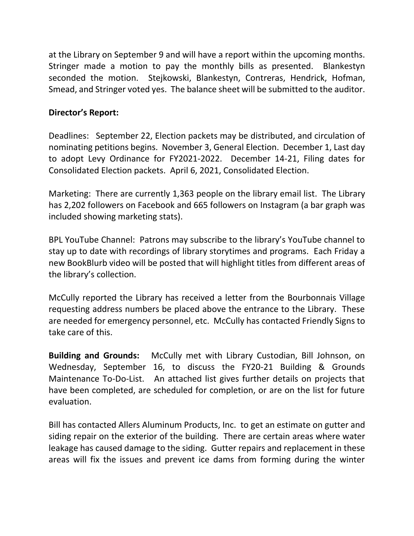at the Library on September 9 and will have a report within the upcoming months. Stringer made a motion to pay the monthly bills as presented. Blankestyn seconded the motion. Stejkowski, Blankestyn, Contreras, Hendrick, Hofman, Smead, and Stringer voted yes. The balance sheet will be submitted to the auditor.

# **Director's Report:**

Deadlines: September 22, Election packets may be distributed, and circulation of nominating petitions begins. November 3, General Election. December 1, Last day to adopt Levy Ordinance for FY2021-2022. December 14-21, Filing dates for Consolidated Election packets. April 6, 2021, Consolidated Election.

Marketing: There are currently 1,363 people on the library email list. The Library has 2,202 followers on Facebook and 665 followers on Instagram (a bar graph was included showing marketing stats).

BPL YouTube Channel: Patrons may subscribe to the library's YouTube channel to stay up to date with recordings of library storytimes and programs. Each Friday a new BookBlurb video will be posted that will highlight titles from different areas of the library's collection.

McCully reported the Library has received a letter from the Bourbonnais Village requesting address numbers be placed above the entrance to the Library. These are needed for emergency personnel, etc. McCully has contacted Friendly Signs to take care of this.

**Building and Grounds:** McCully met with Library Custodian, Bill Johnson, on Wednesday, September 16, to discuss the FY20-21 Building & Grounds Maintenance To-Do-List. An attached list gives further details on projects that have been completed, are scheduled for completion, or are on the list for future evaluation.

Bill has contacted Allers Aluminum Products, Inc. to get an estimate on gutter and siding repair on the exterior of the building. There are certain areas where water leakage has caused damage to the siding. Gutter repairs and replacement in these areas will fix the issues and prevent ice dams from forming during the winter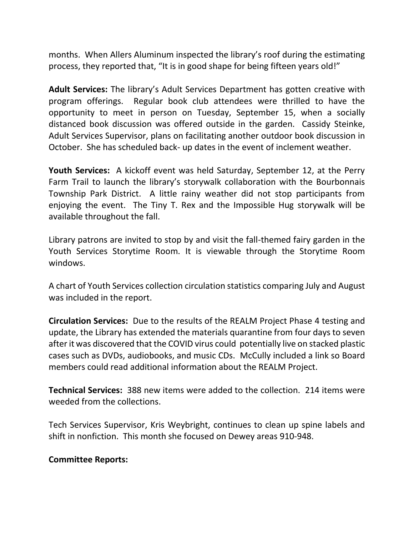months. When Allers Aluminum inspected the library's roof during the estimating process, they reported that, "It is in good shape for being fifteen years old!"

**Adult Services:** The library's Adult Services Department has gotten creative with program offerings. Regular book club attendees were thrilled to have the opportunity to meet in person on Tuesday, September 15, when a socially distanced book discussion was offered outside in the garden. Cassidy Steinke, Adult Services Supervisor, plans on facilitating another outdoor book discussion in October. She has scheduled back- up dates in the event of inclement weather.

**Youth Services:** A kickoff event was held Saturday, September 12, at the Perry Farm Trail to launch the library's storywalk collaboration with the Bourbonnais Township Park District. A little rainy weather did not stop participants from enjoying the event. The Tiny T. Rex and the Impossible Hug storywalk will be available throughout the fall.

Library patrons are invited to stop by and visit the fall-themed fairy garden in the Youth Services Storytime Room. It is viewable through the Storytime Room windows.

A chart of Youth Services collection circulation statistics comparing July and August was included in the report.

**Circulation Services:** Due to the results of the REALM Project Phase 4 testing and update, the Library has extended the materials quarantine from four days to seven after it was discovered that the COVID virus could potentially live on stacked plastic cases such as DVDs, audiobooks, and music CDs. McCully included a link so Board members could read additional information about the REALM Project.

**Technical Services:** 388 new items were added to the collection. 214 items were weeded from the collections.

Tech Services Supervisor, Kris Weybright, continues to clean up spine labels and shift in nonfiction. This month she focused on Dewey areas 910-948.

## **Committee Reports:**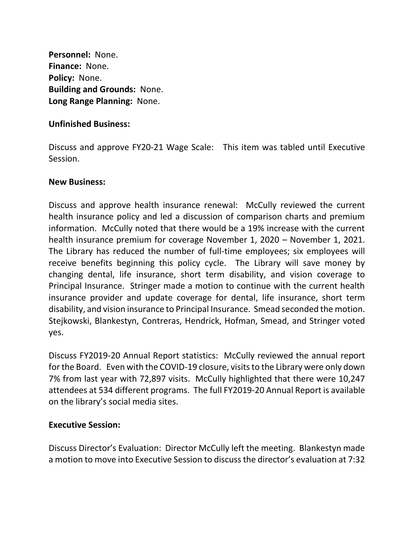**Personnel:** None. **Finance:** None. **Policy:** None. **Building and Grounds:** None. **Long Range Planning:** None.

## **Unfinished Business:**

Discuss and approve FY20-21 Wage Scale: This item was tabled until Executive Session.

#### **New Business:**

Discuss and approve health insurance renewal: McCully reviewed the current health insurance policy and led a discussion of comparison charts and premium information. McCully noted that there would be a 19% increase with the current health insurance premium for coverage November 1, 2020 – November 1, 2021. The Library has reduced the number of full-time employees; six employees will receive benefits beginning this policy cycle. The Library will save money by changing dental, life insurance, short term disability, and vision coverage to Principal Insurance. Stringer made a motion to continue with the current health insurance provider and update coverage for dental, life insurance, short term disability, and vision insurance to Principal Insurance. Smead seconded the motion. Stejkowski, Blankestyn, Contreras, Hendrick, Hofman, Smead, and Stringer voted yes.

Discuss FY2019-20 Annual Report statistics: McCully reviewed the annual report for the Board. Even with the COVID-19 closure, visits to the Library were only down 7% from last year with 72,897 visits. McCully highlighted that there were 10,247 attendees at 534 different programs. The full FY2019-20 Annual Report is available on the library's social media sites.

## **Executive Session:**

Discuss Director's Evaluation: Director McCully left the meeting. Blankestyn made a motion to move into Executive Session to discuss the director's evaluation at 7:32